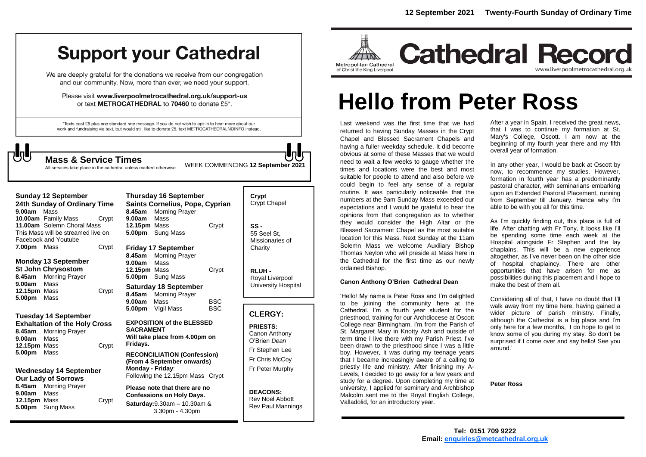## **Support your Cathedral**

We are deeply grateful for the donations we receive from our congregation and our community. Now, more than ever, we need your support.

Please visit www.liverpoolmetrocathedral.org.uk/support-us or text METROCATHEDRAL to 70460 to donate £5\*.

\*Texts cost £5 plus one standard rate message. If you do not wish to opt-in to hear more about our work and fundraising via text, but would still like to donate £5, text METROCATHEDRALNOINFO instead.

All otherwise

WEEK COMMENCING **<sup>12</sup> September <sup>2021</sup> Mass & Service Times**

| All services take place in the cathedral unless marke |  |  |  |
|-------------------------------------------------------|--|--|--|
|                                                       |  |  |  |

| 9.00am                                                                                                                                                              | <b>Sunday 12 September</b><br>24th Sunday of Ordinary Time<br>Mass                                                              |       | 8.45am                                                                                                                                   | <b>Thursday 16 September</b><br>Saints Cornelius, Pope, Cyprian<br><b>Morning Prayer</b>                                            | Crypt<br>Crypt Chapel    |                                                                                      |  |
|---------------------------------------------------------------------------------------------------------------------------------------------------------------------|---------------------------------------------------------------------------------------------------------------------------------|-------|------------------------------------------------------------------------------------------------------------------------------------------|-------------------------------------------------------------------------------------------------------------------------------------|--------------------------|--------------------------------------------------------------------------------------|--|
|                                                                                                                                                                     | <b>10.00am</b> Family Mass<br>Crypt<br>11.00am Solemn Choral Mass<br>This Mass will be streamed live on<br>Facebook and Youtube |       | 9.00am<br>12.15pm Mass<br>5.00pm                                                                                                         | Mass<br>Sung Mass                                                                                                                   | Crypt                    | $SS -$<br>55 Seel St.<br>Missionaries of                                             |  |
| 7.00pm Mass                                                                                                                                                         |                                                                                                                                 | Crypt | 8.45am                                                                                                                                   | <b>Friday 17 September</b><br><b>Morning Prayer</b>                                                                                 |                          | Charity                                                                              |  |
| 8.45am<br>9.00am<br>12.15pm Mass<br>5.00pm                                                                                                                          | <b>Monday 13 September</b><br><b>St John Chrysostom</b><br><b>Morning Prayer</b><br>Mass<br>Mass                                | Crypt | 9.00am<br>12.15pm Mass<br>5.00pm                                                                                                         | Mass<br>Sung Mass                                                                                                                   | Crypt                    | RLUH-<br>Royal Liverpool                                                             |  |
|                                                                                                                                                                     |                                                                                                                                 |       | 8.45am<br>9.00am<br>5.00pm                                                                                                               | <b>Saturday 18 September</b><br><b>Morning Prayer</b><br>Mass<br>Vigil Mass                                                         | <b>BSC</b><br><b>BSC</b> | University Hospital                                                                  |  |
|                                                                                                                                                                     |                                                                                                                                 |       |                                                                                                                                          |                                                                                                                                     |                          | <b>CLERGY:</b>                                                                       |  |
| <b>Tuesday 14 September</b><br><b>Exhaltation of the Holy Cross</b><br>8.45am<br><b>Morning Prayer</b><br>9.00am<br>Mass<br>Crypt<br>12.15pm Mass<br>5.00pm<br>Mass |                                                                                                                                 |       | <b>EXPOSITION of the BLESSED</b><br><b>SACRAMENT</b><br>Will take place from 4.00pm on<br>Fridays.<br><b>RECONCILIATION (Confession)</b> |                                                                                                                                     |                          | <b>PRIESTS:</b><br>Canon Anthony<br>O'Brien Dean<br>Fr Stephen Lee<br>Fr Chris McCoy |  |
| <b>Wednesday 14 September</b><br><b>Our Lady of Sorrows</b>                                                                                                         |                                                                                                                                 |       | Monday - Friday:                                                                                                                         | (From 4 September onwards)<br>Following the 12.15pm Mass Crypt                                                                      |                          | Fr Peter Murphy                                                                      |  |
| 9.00am<br>12.15pm Mass<br>5.00pm                                                                                                                                    | 8.45am Morning Prayer<br>Mass<br><b>Sung Mass</b>                                                                               | Crypt |                                                                                                                                          | Please note that there are no<br><b>Confessions on Holy Days.</b><br><b>Saturday:</b> $9.30$ am $- 10.30$ am &<br>$3.30pm - 4.30pm$ |                          | <b>DEACONS:</b><br><b>Rev Noel Abbott</b><br><b>Rev Paul Mannings</b>                |  |



**Cathedral Record** www.liverpoolmetrocathedral.org.uk

# **Hello from Peter Ross**

Last weekend was the first time that we had returned to having Sunday Masses in the Crypt Chapel and Blessed Sacrament Chapels and having a fuller weekday schedule. It did become obvious at some of these Masses that we would need to wait a few weeks to gauge whether the times and locations were the best and most suitable for people to attend and also before we could begin to feel any sense of a regular routine. It was particularly noticeable that the numbers at the 9am Sunday Mass exceeded our expectations and I would be grateful to hear the opinions from that congregation as to whether they would consider the High Altar or the Blessed Sacrament Chapel as the most suitable location for this Mass. Next Sunday at the 11am Solemn Mass we welcome Auxiliary Bishop Thomas Neylon who will preside at Mass here in the Cathedral for the first t**i**me as our newly ordained Bishop.

#### **Canon Anthony O'Brien Cathedral Dean**

'Hello! My name is Peter Ross and I'm delighted to be joining the community here at the Cathedral. I'm a fourth year student for the priesthood, training for our Archdiocese at Oscott College near Birmingham. I'm from the Parish of St. Margaret Mary in Knotty Ash and outside of term time I live there with my Parish Priest. I've been drawn to the priesthood since I was a little boy. However, it was during my teenage years that I became increasingly aware of a calling to priestly life and ministry. After finishing my A-Levels, I decided to go away for a few years and study for a degree. Upon completing my time at university, I applied for seminary and Archbishop Malcolm sent me to the Royal English College, Valladolid, for an introductory year.

After a year in Spain, I received the great news, that I was to continue my formation at St. Mary's College, Oscott. I am now at the beginning of my fourth year there and my fifth overall year of formation.

In any other year, I would be back at Oscott by now, to recommence my studies. However, formation in fourth year has a predominantly pastoral character, with seminarians embarking upon an Extended Pastoral Placement, running from September till January. Hence why I'm able to be with you all for this time.

As I'm quickly finding out, this place is full of life. After chatting with Fr Tony, it looks like I'll be spending some time each week at the Hospital alongside Fr Stephen and the lay chaplains. This will be a new experience altogether, as I've never been on the other side of hospital chaplaincy. There are other opportunities that have arisen for me as possibilities during this placement and I hope to make the best of them all.

Considering all of that, I have no doubt that I'll walk away from my time here, having gained a wider picture of parish ministry. Finally, although the Cathedral is a big place and I'm only here for a few months, I do hope to get to know some of you during my stay. So don't be surprised if I come over and say hello! See you around.'

#### **Peter Ross**